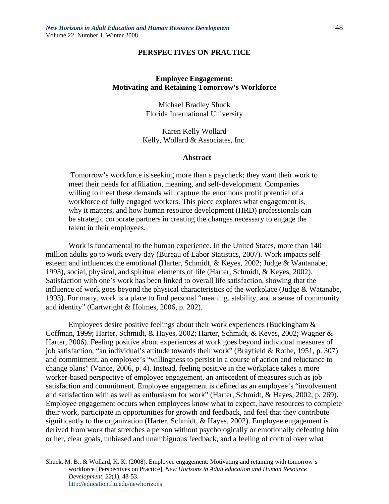## **PERSPECTIVES ON PRACTICE**

# **Employee Engagement: Motivating and Retaining Tomorrow's Workforce**

Michael Bradley Shuck Florida International University

Karen Kelly Wollard Kelly, Wollard & Associates, Inc.

### **Abstract**

 Tomorrow's workforce is seeking more than a paycheck; they want their work to meet their needs for affiliation, meaning, and self-development. Companies willing to meet these demands will capture the enormous profit potential of a workforce of fully engaged workers. This piece explores what engagement is, why it matters, and how human resource development (HRD) professionals can be strategic corporate partners in creating the changes necessary to engage the talent in their employees.

Work is fundamental to the human experience. In the United States, more than 140 million adults go to work every day (Bureau of Labor Statistics, 2007). Work impacts selfesteem and influences the emotional (Harter, Schmidt, & Keyes, 2002; Judge & Wantanabe, 1993), social, physical, and spiritual elements of life (Harter, Schmidt, & Keyes, 2002). Satisfaction with one's work has been linked to overall life satisfaction, showing that the influence of work goes beyond the physical characteristics of the workplace (Judge & Watanabe, 1993). For many, work is a place to find personal "meaning, stability, and a sense of community and identity" (Cartwright & Holmes, 2006, p. 202).

Employees desire positive feelings about their work experiences (Buckingham & Coffman, 1999; Harter, Schmidt, & Hayes, 2002; Harter, Schmidt, & Keyes, 2002; Wagner & Harter, 2006). Feeling positive about experiences at work goes beyond individual measures of job satisfaction, "an individual's attitude towards their work" (Brayfield & Rothe, 1951, p. 307) and commitment, an employee's "willingness to persist in a course of action and reluctance to change plans" (Vance, 2006, p. 4). Instead, feeling positive in the workplace takes a more worker-based perspective of employee engagement, an antecedent of measures such as job satisfaction and commitment. Employee engagement is defined as an employee's "involvement and satisfaction with as well as enthusiasm for work" (Harter, Schmidt, & Hayes, 2002, p. 269). Employee engagement occurs when employees know what to expect, have resources to complete their work, participate in opportunities for growth and feedback, and feel that they contribute significantly to the organization (Harter, Schmidt, & Hayes, 2002). Employee engagement is derived from work that stretches a person without psychologically or emotionally defeating him or her, clear goals, unbiased and unambiguous feedback, and a feeling of control over what

Shuck, M. B., & Wollard, K. K. (2008). Employee engagement: Motivating and retaining with tomorrow's workforce [Perspectives on Practice]. *New Horizons in Adult education and Human Resource Development, 22*(1), 48-53. http://education.fiu.edu/newhorizons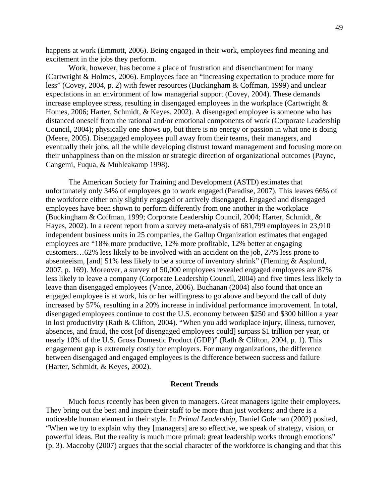happens at work (Emmott, 2006). Being engaged in their work, employees find meaning and excitement in the jobs they perform.

Work, however, has become a place of frustration and disenchantment for many (Cartwright & Holmes, 2006). Employees face an "increasing expectation to produce more for less" (Covey, 2004, p. 2) with fewer resources (Buckingham & Coffman, 1999) and unclear expectations in an environment of low managerial support (Covey, 2004). These demands increase employee stress, resulting in disengaged employees in the workplace (Cartwright & Homes, 2006; Harter, Schmidt, & Keyes, 2002). A disengaged employee is someone who has distanced oneself from the rational and/or emotional components of work (Corporate Leadership Council, 2004); physically one shows up, but there is no energy or passion in what one is doing (Meere, 2005). Disengaged employees pull away from their teams, their managers, and eventually their jobs, all the while developing distrust toward management and focusing more on their unhappiness than on the mission or strategic direction of organizational outcomes (Payne, Cangemi, Fuqua, & Muhleakamp 1998).

The American Society for Training and Development (ASTD) estimates that unfortunately only 34% of employees go to work engaged (Paradise, 2007). This leaves 66% of the workforce either only slightly engaged or actively disengaged. Engaged and disengaged employees have been shown to perform differently from one another in the workplace (Buckingham & Coffman, 1999; Corporate Leadership Council, 2004; Harter, Schmidt, & Hayes, 2002). In a recent report from a survey meta-analysis of 681,799 employees in 23,910 independent business units in 25 companies, the Gallup Organization estimates that engaged employees are "18% more productive, 12% more profitable, 12% better at engaging customers…62% less likely to be involved with an accident on the job, 27% less prone to absenteeism, [and] 51% less likely to be a source of inventory shrink" (Fleming & Asplund, 2007, p. 169). Moreover, a survey of 50,000 employees revealed engaged employees are 87% less likely to leave a company (Corporate Leadership Council, 2004) and five times less likely to leave than disengaged employees (Vance, 2006). Buchanan (2004) also found that once an engaged employee is at work, his or her willingness to go above and beyond the call of duty increased by 57%, resulting in a 20% increase in individual performance improvement. In total, disengaged employees continue to cost the U.S. economy between \$250 and \$300 billion a year in lost productivity (Rath & Clifton, 2004). "When you add workplace injury, illness, turnover, absences, and fraud, the cost [of disengaged employees could] surpass \$1 trillion per year, or nearly 10% of the U.S. Gross Domestic Product (GDP)" (Rath & Clifton, 2004, p. 1). This engagement gap is extremely costly for employers. For many organizations, the difference between disengaged and engaged employees is the difference between success and failure (Harter, Schmidt, & Keyes, 2002).

#### **Recent Trends**

Much focus recently has been given to managers. Great managers ignite their employees. They bring out the best and inspire their staff to be more than just workers; and there is a noticeable human element in their style. In *Primal Leadership*, Daniel Goleman (2002) posited, "When we try to explain why they [managers] are so effective, we speak of strategy, vision, or powerful ideas. But the reality is much more primal: great leadership works through emotions" (p. 3). Maccoby (2007) argues that the social character of the workforce is changing and that this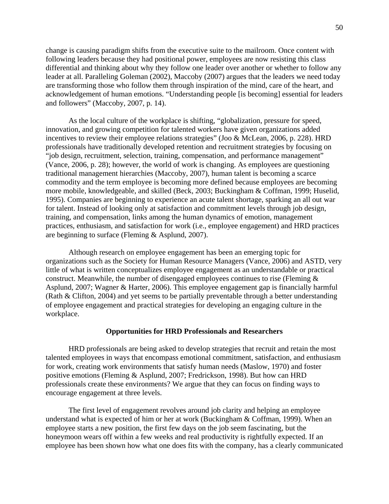change is causing paradigm shifts from the executive suite to the mailroom. Once content with following leaders because they had positional power, employees are now resisting this class differential and thinking about why they follow one leader over another or whether to follow any leader at all. Paralleling Goleman (2002), Maccoby (2007) argues that the leaders we need today are transforming those who follow them through inspiration of the mind, care of the heart, and acknowledgement of human emotions. "Understanding people [is becoming] essential for leaders and followers" (Maccoby, 2007, p. 14).

As the local culture of the workplace is shifting, "globalization, pressure for speed, innovation, and growing competition for talented workers have given organizations added incentives to review their employee relations strategies" (Joo & McLean, 2006, p. 228). HRD professionals have traditionally developed retention and recruitment strategies by focusing on "job design, recruitment, selection, training, compensation, and performance management" (Vance, 2006, p. 28); however, the world of work is changing. As employees are questioning traditional management hierarchies (Maccoby, 2007), human talent is becoming a scarce commodity and the term employee is becoming more defined because employees are becoming more mobile, knowledgeable, and skilled (Beck, 2003; Buckingham & Coffman, 1999; Huselid, 1995). Companies are beginning to experience an acute talent shortage, sparking an all out war for talent. Instead of looking only at satisfaction and commitment levels through job design, training, and compensation, links among the human dynamics of emotion, management practices, enthusiasm, and satisfaction for work (i.e., employee engagement) and HRD practices are beginning to surface (Fleming & Asplund, 2007).

Although research on employee engagement has been an emerging topic for organizations such as the Society for Human Resource Managers (Vance, 2006) and ASTD, very little of what is written conceptualizes employee engagement as an understandable or practical construct. Meanwhile, the number of disengaged employees continues to rise (Fleming & Asplund, 2007; Wagner & Harter, 2006). This employee engagement gap is financially harmful (Rath & Clifton, 2004) and yet seems to be partially preventable through a better understanding of employee engagement and practical strategies for developing an engaging culture in the workplace.

### **Opportunities for HRD Professionals and Researchers**

HRD professionals are being asked to develop strategies that recruit and retain the most talented employees in ways that encompass emotional commitment, satisfaction, and enthusiasm for work, creating work environments that satisfy human needs (Maslow, 1970) and foster positive emotions (Fleming & Asplund, 2007; Fredrickson, 1998). But how can HRD professionals create these environments? We argue that they can focus on finding ways to encourage engagement at three levels.

The first level of engagement revolves around job clarity and helping an employee understand what is expected of him or her at work (Buckingham & Coffman, 1999). When an employee starts a new position, the first few days on the job seem fascinating, but the honeymoon wears off within a few weeks and real productivity is rightfully expected. If an employee has been shown how what one does fits with the company, has a clearly communicated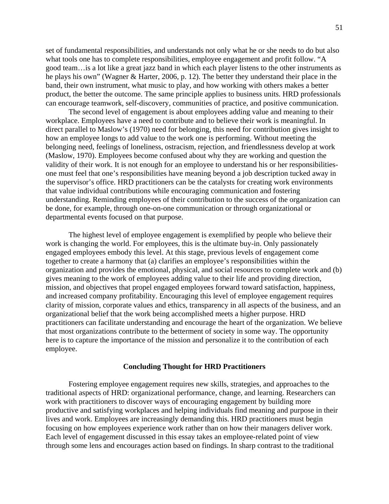set of fundamental responsibilities, and understands not only what he or she needs to do but also what tools one has to complete responsibilities, employee engagement and profit follow. "A good team…is a lot like a great jazz band in which each player listens to the other instruments as he plays his own" (Wagner & Harter, 2006, p. 12). The better they understand their place in the band, their own instrument, what music to play, and how working with others makes a better product, the better the outcome. The same principle applies to business units. HRD professionals can encourage teamwork, self-discovery, communities of practice, and positive communication.

The second level of engagement is about employees adding value and meaning to their workplace. Employees have a need to contribute and to believe their work is meaningful. In direct parallel to Maslow's (1970) need for belonging, this need for contribution gives insight to how an employee longs to add value to the work one is performing. Without meeting the belonging need, feelings of loneliness, ostracism, rejection, and friendlessness develop at work (Maslow, 1970). Employees become confused about why they are working and question the validity of their work. It is not enough for an employee to understand his or her responsibilitiesone must feel that one's responsibilities have meaning beyond a job description tucked away in the supervisor's office. HRD practitioners can be the catalysts for creating work environments that value individual contributions while encouraging communication and fostering understanding. Reminding employees of their contribution to the success of the organization can be done, for example, through one-on-one communication or through organizational or departmental events focused on that purpose.

The highest level of employee engagement is exemplified by people who believe their work is changing the world. For employees, this is the ultimate buy-in. Only passionately engaged employees embody this level. At this stage, previous levels of engagement come together to create a harmony that (a) clarifies an employee's responsibilities within the organization and provides the emotional, physical, and social resources to complete work and (b) gives meaning to the work of employees adding value to their life and providing direction, mission, and objectives that propel engaged employees forward toward satisfaction, happiness, and increased company profitability. Encouraging this level of employee engagement requires clarity of mission, corporate values and ethics, transparency in all aspects of the business, and an organizational belief that the work being accomplished meets a higher purpose. HRD practitioners can facilitate understanding and encourage the heart of the organization. We believe that most organizations contribute to the betterment of society in some way. The opportunity here is to capture the importance of the mission and personalize it to the contribution of each employee.

#### **Concluding Thought for HRD Practitioners**

Fostering employee engagement requires new skills, strategies, and approaches to the traditional aspects of HRD: organizational performance, change, and learning. Researchers can work with practitioners to discover ways of encouraging engagement by building more productive and satisfying workplaces and helping individuals find meaning and purpose in their lives and work. Employees are increasingly demanding this. HRD practitioners must begin focusing on how employees experience work rather than on how their managers deliver work. Each level of engagement discussed in this essay takes an employee-related point of view through some lens and encourages action based on findings. In sharp contrast to the traditional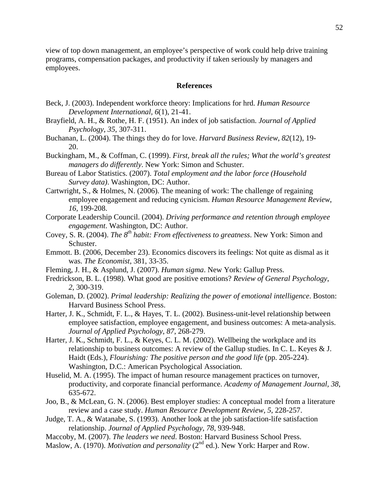view of top down management, an employee's perspective of work could help drive training programs, compensation packages, and productivity if taken seriously by managers and employees.

## **References**

- Beck, J. (2003). Independent workforce theory: Implications for hrd. *Human Resource Development International, 6*(1), 21-41.
- Brayfield, A. H., & Rothe, H. F. (1951). An index of job satisfaction. *Journal of Applied Psychology*, *35*, 307-311.
- Buchanan, L. (2004). The things they do for love. *Harvard Business Review*, *82*(12), 19- 20.
- Buckingham, M., & Coffman, C. (1999). *First, break all the rules; What the world's greatest managers do differently*. New York: Simon and Schuster.
- Bureau of Labor Statistics. (2007). *Total employment and the labor force (Household Survey data)*. Washington, DC: Author.
- Cartwright, S., & Holmes, N. (2006). The meaning of work: The challenge of regaining employee engagement and reducing cynicism. *Human Resource Management Review*, *16,* 199-208.
- Corporate Leadership Council. (2004). *Driving performance and retention through employee engagement*. Washington, DC: Author.
- Covey, S. R. (2004). *The 8th habit: From effectiveness to greatness*. New York: Simon and Schuster.
- Emmott. B. (2006, December 23). Economics discovers its feelings: Not quite as dismal as it was. *The Economist*, 381, 33-35.
- Fleming, J. H., & Asplund, J. (2007). *Human sigma*. New York: Gallup Press.
- Fredrickson, B. L. (1998). What good are positive emotions? *Review of General Psychology*, *2*, 300-319.
- Goleman, D. (2002). *Primal leadership: Realizing the power of emotional intelligence*. Boston: Harvard Business School Press.
- Harter, J. K., Schmidt, F. L., & Hayes, T. L. (2002). Business-unit-level relationship between employee satisfaction, employee engagement, and business outcomes: A meta-analysis. *Journal of Applied Psychology*, *87*, 268-279.
- Harter, J. K., Schmidt, F. L., & Keyes, C. L. M. (2002). Wellbeing the workplace and its relationship to business outcomes: A review of the Gallup studies. In C. L. Keyes & J. Haidt (Eds.), *Flourishing: The positive person and the good life* (pp. 205-224). Washington, D.C.: American Psychological Association.
- Huselid, M. A. (1995). The impact of human resource management practices on turnover, productivity, and corporate financial performance. *Academy of Management Journal, 38*, 635-672.
- Joo, B., & McLean, G. N. (2006). Best employer studies: A conceptual model from a literature review and a case study. *Human Resource Development Review, 5*, 228-257.
- Judge, T. A., & Watanabe, S. (1993). Another look at the job satisfaction-life satisfaction relationship. *Journal of Applied Psychology*, *78*, 939-948.
- Maccoby, M. (2007). *The leaders we need*. Boston: Harvard Business School Press.
- Maslow, A. (1970). *Motivation and personality* (2<sup>nd</sup> ed.). New York: Harper and Row.